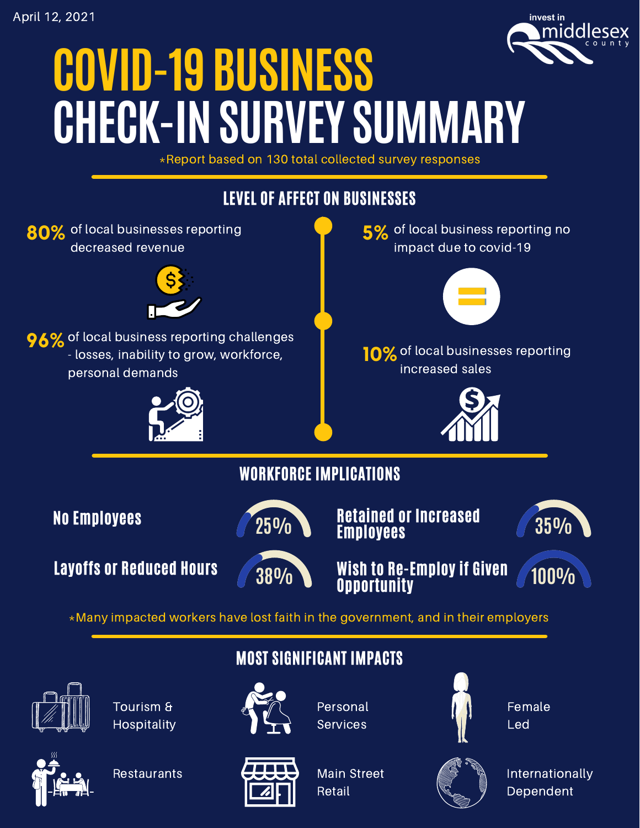

## **COVID-19 BUSINESS CHECK-INSURVEY SUMMARY**

\*Report based on 130 total collected survey responses





**Restaurants** 



Main Street Retail



Internationally Dependent